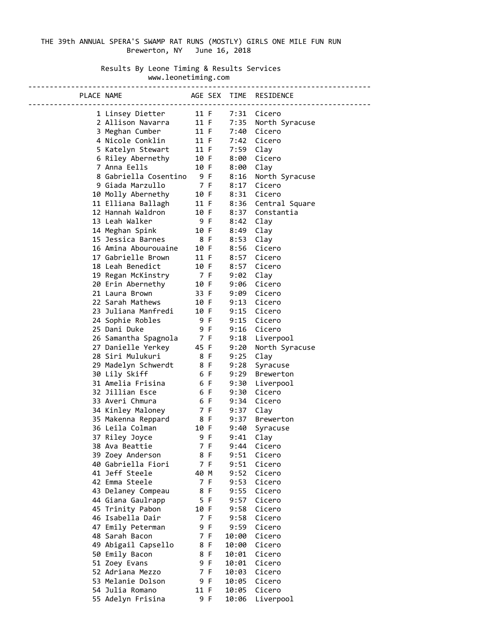## THE 39th ANNUAL SPERA'S SWAMP RAT RUNS (MOSTLY) GIRLS ONE MILE FUN RUN Brewerton, NY June 16, 2018

## Results By Leone Timing & Results Services

www.leonetiming.com

| PLACE NAME AGE SEX TIME RESIDENCE                                                                                                                                                                                                                      |      |     |       |              |
|--------------------------------------------------------------------------------------------------------------------------------------------------------------------------------------------------------------------------------------------------------|------|-----|-------|--------------|
| 1 Linsey Dietter 11 F 7:31 Cicero                                                                                                                                                                                                                      |      |     |       |              |
|                                                                                                                                                                                                                                                        |      |     |       |              |
| 2 Allison Navarra<br>3 Meghan Cumber<br>4 Nicole Conklin<br>5 Katelyn Stewart<br>5 Katelyn Stewart<br>11 F 7:42 Cicero<br>5 Katelyn Stewart<br>11 F 7:59 Clay<br>6 Riley Abernethy<br>10 F 8:00 Cicero<br>7 Anna Eells<br>10 F 8:00 Cicero<br>7 Anna E |      |     |       |              |
|                                                                                                                                                                                                                                                        |      |     |       |              |
|                                                                                                                                                                                                                                                        |      |     |       |              |
|                                                                                                                                                                                                                                                        |      |     |       |              |
|                                                                                                                                                                                                                                                        |      |     |       |              |
| 8 Gabriella Cosentino 9 F 8:16 North Syracuse                                                                                                                                                                                                          |      |     |       |              |
| 9 Giada Marzullo 7 F 8:17 Cicero                                                                                                                                                                                                                       |      |     |       |              |
| 10 Molly Abernethy<br>10 F 8:31 Cicero<br>11 Elliana Ballagh<br>11 F 8:36 Central Square<br>12 Hannah Waldron<br>10 F 8:37 Constantia<br>13 Leah Walker<br>14 Meghan Spink<br>10 F 8:49 Clay<br>14 Meghan Spink<br>10 F 8:49 Clay                      |      |     |       |              |
|                                                                                                                                                                                                                                                        |      |     |       |              |
|                                                                                                                                                                                                                                                        |      |     |       |              |
|                                                                                                                                                                                                                                                        |      |     |       |              |
|                                                                                                                                                                                                                                                        |      |     |       |              |
| 15 Jessica Barnes 8 F 8:53 Clay                                                                                                                                                                                                                        |      |     |       |              |
| 16 Amina Abourouaine 10 F 8:56 Cicero                                                                                                                                                                                                                  |      |     |       |              |
| 17 Gabrielle Brown 11 F 8:57 Cicero                                                                                                                                                                                                                    |      |     |       |              |
| 18 Leah Benedict<br>19 Regan McKinstry<br>19 Regan McKinstry<br>20 Erin Abernethy<br>20 Erin Abernethy<br>10 F 9:06 Cicero<br>21 Laura Brown<br>22 Sarah Mathews<br>10 F 9:09 Cicero<br>22 Sarah Mathews<br>10 F 9:13 Cicero                           |      |     |       |              |
|                                                                                                                                                                                                                                                        |      |     |       |              |
|                                                                                                                                                                                                                                                        |      |     |       |              |
|                                                                                                                                                                                                                                                        |      |     |       |              |
|                                                                                                                                                                                                                                                        |      |     |       |              |
| 23 Juliana Manfredi 10 F 9:15 Cicero                                                                                                                                                                                                                   |      |     |       |              |
| 24 Sophie Robles 9 F 9:15 Cicero                                                                                                                                                                                                                       |      |     |       |              |
|                                                                                                                                                                                                                                                        |      |     |       |              |
|                                                                                                                                                                                                                                                        |      |     |       |              |
| 25 Dani Duke<br>25 Dani Duke<br>26 Samantha Spagnola<br>27 Danielle Yerkey<br>28 Siri Mulukuri<br>28 Siri Mulukuri<br>29 Madelyn Schwerdt<br>29 Madelyn Schwerdt<br>38 F 9:28 Syracuse<br>30 Lily Skiff<br>6 F 9:29 Brewerton                          |      |     |       |              |
|                                                                                                                                                                                                                                                        |      |     |       |              |
|                                                                                                                                                                                                                                                        |      |     |       |              |
| 31 Amelia Frisina 6 F 9:30 Liverpool                                                                                                                                                                                                                   |      |     |       |              |
| 32 Jillian Esce 6 F 9:30 Cicero                                                                                                                                                                                                                        |      |     |       |              |
|                                                                                                                                                                                                                                                        |      |     |       |              |
| 33 Averi Chmura 6 F 9:34 Cicero                                                                                                                                                                                                                        |      |     |       |              |
| 34 Kinley Maloney 7 F 9:37 Clay<br>35 Makenna Reppard 8 F 9:37 Brewerton<br>36 Leila Colman 10 F 9:40 Syracuse<br>37 Riley Joyce 9 F 9:41 Clay                                                                                                         |      |     |       |              |
|                                                                                                                                                                                                                                                        |      |     |       |              |
|                                                                                                                                                                                                                                                        |      |     |       |              |
| 38 Ava Beattie                                                                                                                                                                                                                                         |      | 7 F | 9:44  | Cicero       |
| 39 Zoey Anderson                                                                                                                                                                                                                                       |      | 8 F | 9:51  | Cicero       |
| 40 Gabriella Fiori                                                                                                                                                                                                                                     |      | 7 F | 9:51  | Cicero       |
| 41 Jeff Steele                                                                                                                                                                                                                                         | 40 M |     | 9:52  | Cicero       |
| 42 Emma Steele                                                                                                                                                                                                                                         |      | 7 F | 9:53  | Cicero       |
| 43 Delaney Compeau                                                                                                                                                                                                                                     |      | 8 F | 9:55  | Cicero       |
| 44 Giana Gaulrapp                                                                                                                                                                                                                                      |      | 5 F | 9:57  | Cicero       |
| 45 Trinity Pabon                                                                                                                                                                                                                                       | 10 F |     | 9:58  | Cicero       |
| 46 Isabella Dair                                                                                                                                                                                                                                       |      | 7 F | 9:58  | Cicero       |
| 47 Emily Peterman                                                                                                                                                                                                                                      |      | 9 F | 9:59  | Cicero       |
| 48 Sarah Bacon                                                                                                                                                                                                                                         |      | 7 F | 10:00 | Cicero       |
| 49 Abigail Capsello                                                                                                                                                                                                                                    |      | 8 F | 10:00 | Cicero       |
| 50 Emily Bacon                                                                                                                                                                                                                                         |      | 8 F | 10:01 | Cicero       |
| 51 Zoey Evans                                                                                                                                                                                                                                          |      | 9 F | 10:01 | Cicero       |
| 52 Adriana Mezzo                                                                                                                                                                                                                                       |      | 7 F |       | 10:03 Cicero |
| 53 Melanie Dolson                                                                                                                                                                                                                                      |      | 9 F | 10:05 | Cicero       |
| 54 Julia Romano                                                                                                                                                                                                                                        | 11 F |     | 10:05 | Cicero       |
| 55 Adelyn Frisina                                                                                                                                                                                                                                      |      | 9 F | 10:06 | Liverpool    |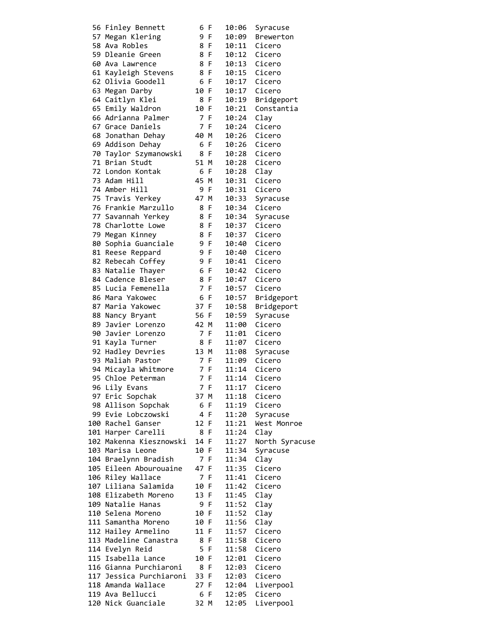| 56 Finley Bennett       | 6 F   | 10:06 | Syracuse       |
|-------------------------|-------|-------|----------------|
| 57 Megan Klering        | 9 F   | 10:09 | Brewerton      |
| 58 Ava Robles           | 8 F   | 10:11 | Cicero         |
| 59 Dleanie Green        | 8 F   | 10:12 | Cicero         |
| 60 Ava Lawrence         | 8 F   | 10:13 | Cicero         |
| 61 Kayleigh Stevens     | 8 F   | 10:15 | Cicero         |
| 62 Olivia Goodell       | 6 F   | 10:17 | Cicero         |
| 63 Megan Darby          | 10 F  | 10:17 | Cicero         |
| 64 Caitlyn Klei         | 8 F   | 10:19 | Bridgeport     |
|                         | 10 F  |       | Constantia     |
| 65 Emily Waldron        |       | 10:21 |                |
| 66 Adrianna Palmer      | 7 F   | 10:24 | Clay           |
| 67 Grace Daniels        | 7 F   | 10:24 | Cicero         |
| 68 Jonathan Dehay       | 40 M  | 10:26 | Cicero         |
| 69 Addison Dehay        | 6 F   | 10:26 | Cicero         |
| 70 Taylor Szymanowski   | 8 F   | 10:28 | Cicero         |
| 71 Brian Studt          | 51 M  | 10:28 | Cicero         |
| 72 London Kontak        | 6 F   | 10:28 | Clay           |
| 73 Adam Hill            | 45 M  | 10:31 | Cicero         |
| 74 Amber Hill           | 9 F   | 10:31 | Cicero         |
| 75 Travis Yerkey        | 47 M  | 10:33 | Syracuse       |
| 76 Frankie Marzullo     | 8 F   | 10:34 | Cicero         |
| 77 Savannah Yerkey      | 8 F   | 10:34 | Syracuse       |
| 78 Charlotte Lowe       | 8 F   | 10:37 | Cicero         |
| 79 Megan Kinney         | 8 F   | 10:37 | Cicero         |
| 80 Sophia Guanciale     | 9 F I | 10:40 | Cicero         |
| 81 Reese Reppard        | 9 F   | 10:40 | Cicero         |
| 82 Rebecah Coffey       | 9 F   | 10:41 | Cicero         |
| 83 Natalie Thayer       | 6 F   | 10:42 | Cicero         |
| 84 Cadence Bleser       | 8 F   | 10:47 | Cicero         |
| 85 Lucia Femenella      | 7 F   | 10:57 | Cicero         |
| 86 Mara Yakowec         | 6 F   | 10:57 |                |
| 87 Maria Yakowec        | 37 F  |       | Bridgeport     |
|                         |       | 10:58 | Bridgeport     |
| 88 Nancy Bryant         | 56 F  | 10:59 | Syracuse       |
| 89 Javier Lorenzo       | 42 M  | 11:00 | Cicero         |
| 90 Javier Lorenzo       | 7 F   | 11:01 | Cicero         |
| 91 Kayla Turner         | 8 F   | 11:07 | Cicero         |
| 92 Hadley Devries       | 13 M  | 11:08 | Syracuse       |
| 93 Maliah Pastor        | 7 F   | 11:09 | Cicero         |
| 94 Micayla Whitmore     | 7 F   | 11:14 | Cicero         |
| 95 Chloe Peterman       | 7 F   | 11:14 | Cicero         |
| 96 Lily Evans           | 7 F   | 11:17 | Cicero         |
| 97 Eric Sopchak         | 37 M  | 11:18 | Cicero         |
| 98 Allison Sopchak      | 6 F   | 11:19 | Cicero         |
| 99 Evie Lobczowski      | 4 F   | 11:20 | Syracuse       |
| 100 Rachel Ganser       | 12 F  | 11:21 | West Monroe    |
| 101 Harper Carelli      | 8 F   | 11:24 | Clay           |
| 102 Makenna Kiesznowski | 14 F  | 11:27 | North Syracuse |
| 103 Marisa Leone        | 10 F  | 11:34 | Syracuse       |
| 104 Braelynn Bradish    | 7 F   | 11:34 | Clay           |
| 105 Eileen Abourouaine  | 47 F  | 11:35 | Cicero         |
| 106 Riley Wallace       | 7 F   | 11:41 | Cicero         |
| 107 Liliana Salamida    | 10 F  | 11:42 | Cicero         |
| 108 Elizabeth Moreno    | 13 F  | 11:45 | Clay           |
| 109 Natalie Hanas       | 9 F   | 11:52 | Clay           |
| 110 Selena Moreno       | 10 F  | 11:52 | Clay           |
| 111 Samantha Moreno     |       |       |                |
|                         | 10 F  | 11:56 | Clay<br>Cicero |
| 112 Hailey Armelino     | 11 F  | 11:57 |                |
| 113 Madeline Canastra   | 8 F   | 11:58 | Cicero         |
| 114 Evelyn Reid         | 5 F   | 11:58 | Cicero         |
| 115 Isabella Lance      | 10 F  | 12:01 | Cicero         |
| 116 Gianna Purchiaroni  | 8 F   | 12:03 | Cicero         |
| 117 Jessica Purchiaroni | 33 F  | 12:03 | Cicero         |
| 118 Amanda Wallace      | 27 F  | 12:04 | Liverpool      |
| 119 Ava Bellucci        | 6 F   | 12:05 | Cicero         |
| 120 Nick Guanciale      | 32 M  | 12:05 | Liverpool      |